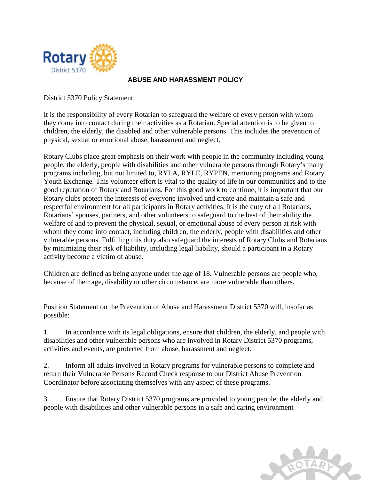

## **ABUSE AND HARASSMENT POLICY**

District 5370 Policy Statement:

It is the responsibility of every Rotarian to safeguard the welfare of every person with whom they come into contact during their activities as a Rotarian. Special attention is to be given to children, the elderly, the disabled and other vulnerable persons. This includes the prevention of physical, sexual or emotional abuse, harassment and neglect.

Rotary Clubs place great emphasis on their work with people in the community including young people, the elderly, people with disabilities and other vulnerable persons through Rotary's many programs including, but not limited to, RYLA, RYLE, RYPEN, mentoring programs and Rotary Youth Exchange. This volunteer effort is vital to the quality of life in our communities and to the good reputation of Rotary and Rotarians. For this good work to continue, it is important that our Rotary clubs protect the interests of everyone involved and create and maintain a safe and respectful environment for all participants in Rotary activities. It is the duty of all Rotarians, Rotarians' spouses, partners, and other volunteers to safeguard to the best of their ability the welfare of and to prevent the physical, sexual, or emotional abuse of every person at risk with whom they come into contact, including children, the elderly, people with disabilities and other vulnerable persons. Fulfilling this duty also safeguard the interests of Rotary Clubs and Rotarians by minimizing their risk of liability, including legal liability, should a participant in a Rotary activity become a victim of abuse.

Children are defined as being anyone under the age of 18. Vulnerable persons are people who, because of their age, disability or other circumstance, are more vulnerable than others.

Position Statement on the Prevention of Abuse and Harassment District 5370 will, insofar as possible:

1. In accordance with its legal obligations, ensure that children, the elderly, and people with disabilities and other vulnerable persons who are involved in Rotary District 5370 programs, activities and events, are protected from abuse, harassment and neglect.

2. Inform all adults involved in Rotary programs for vulnerable persons to complete and return their Vulnerable Persons Record Check response to our District Abuse Prevention Coordinator before associating themselves with any aspect of these programs.

3. Ensure that Rotary District 5370 programs are provided to young people, the elderly and people with disabilities and other vulnerable persons in a safe and caring environment

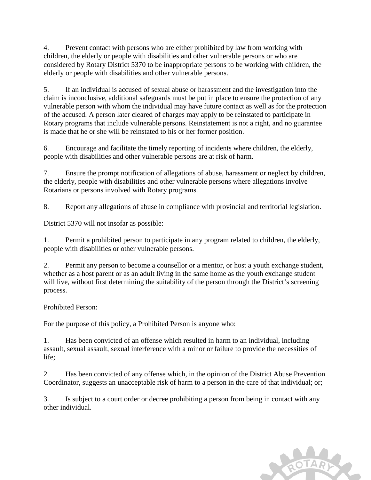4. Prevent contact with persons who are either prohibited by law from working with children, the elderly or people with disabilities and other vulnerable persons or who are considered by Rotary District 5370 to be inappropriate persons to be working with children, the elderly or people with disabilities and other vulnerable persons.

5. If an individual is accused of sexual abuse or harassment and the investigation into the claim is inconclusive, additional safeguards must be put in place to ensure the protection of any vulnerable person with whom the individual may have future contact as well as for the protection of the accused. A person later cleared of charges may apply to be reinstated to participate in Rotary programs that include vulnerable persons. Reinstatement is not a right, and no guarantee is made that he or she will be reinstated to his or her former position.

6. Encourage and facilitate the timely reporting of incidents where children, the elderly, people with disabilities and other vulnerable persons are at risk of harm.

7. Ensure the prompt notification of allegations of abuse, harassment or neglect by children, the elderly, people with disabilities and other vulnerable persons where allegations involve Rotarians or persons involved with Rotary programs.

8. Report any allegations of abuse in compliance with provincial and territorial legislation.

District 5370 will not insofar as possible:

1. Permit a prohibited person to participate in any program related to children, the elderly, people with disabilities or other vulnerable persons.

2. Permit any person to become a counsellor or a mentor, or host a youth exchange student, whether as a host parent or as an adult living in the same home as the youth exchange student will live, without first determining the suitability of the person through the District's screening process.

# Prohibited Person:

For the purpose of this policy, a Prohibited Person is anyone who:

1. Has been convicted of an offense which resulted in harm to an individual, including assault, sexual assault, sexual interference with a minor or failure to provide the necessities of life;

2. Has been convicted of any offense which, in the opinion of the District Abuse Prevention Coordinator, suggests an unacceptable risk of harm to a person in the care of that individual; or;

3. Is subject to a court order or decree prohibiting a person from being in contact with any other individual.

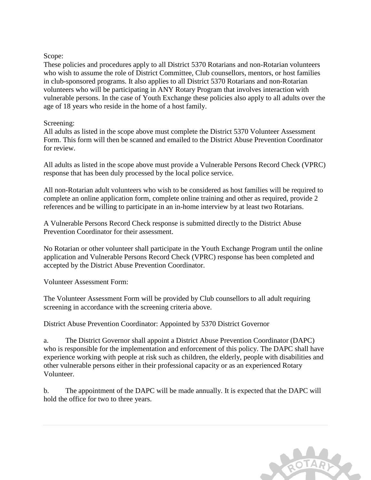### Scope:

These policies and procedures apply to all District 5370 Rotarians and non-Rotarian volunteers who wish to assume the role of District Committee, Club counsellors, mentors, or host families in club-sponsored programs. It also applies to all District 5370 Rotarians and non-Rotarian volunteers who will be participating in ANY Rotary Program that involves interaction with vulnerable persons. In the case of Youth Exchange these policies also apply to all adults over the age of 18 years who reside in the home of a host family.

### Screening:

All adults as listed in the scope above must complete the District 5370 Volunteer Assessment Form. This form will then be scanned and emailed to the District Abuse Prevention Coordinator for review.

All adults as listed in the scope above must provide a Vulnerable Persons Record Check (VPRC) response that has been duly processed by the local police service.

All non-Rotarian adult volunteers who wish to be considered as host families will be required to complete an online application form, complete online training and other as required, provide 2 references and be willing to participate in an in-home interview by at least two Rotarians.

A Vulnerable Persons Record Check response is submitted directly to the District Abuse Prevention Coordinator for their assessment.

No Rotarian or other volunteer shall participate in the Youth Exchange Program until the online application and Vulnerable Persons Record Check (VPRC) response has been completed and accepted by the District Abuse Prevention Coordinator.

Volunteer Assessment Form:

The Volunteer Assessment Form will be provided by Club counsellors to all adult requiring screening in accordance with the screening criteria above.

District Abuse Prevention Coordinator: Appointed by 5370 District Governor

a. The District Governor shall appoint a District Abuse Prevention Coordinator (DAPC) who is responsible for the implementation and enforcement of this policy. The DAPC shall have experience working with people at risk such as children, the elderly, people with disabilities and other vulnerable persons either in their professional capacity or as an experienced Rotary Volunteer.

b. The appointment of the DAPC will be made annually. It is expected that the DAPC will hold the office for two to three years.

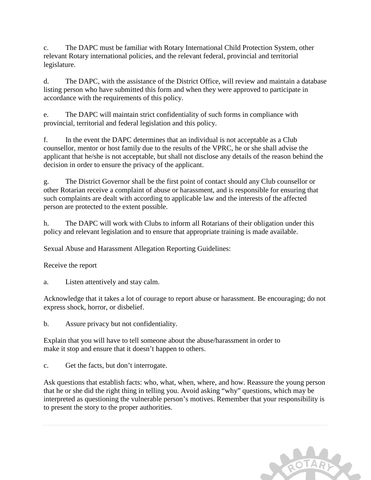c. The DAPC must be familiar with Rotary International Child Protection System, other relevant Rotary international policies, and the relevant federal, provincial and territorial legislature.

d. The DAPC, with the assistance of the District Office, will review and maintain a database listing person who have submitted this form and when they were approved to participate in accordance with the requirements of this policy.

e. The DAPC will maintain strict confidentiality of such forms in compliance with provincial, territorial and federal legislation and this policy.

f. In the event the DAPC determines that an individual is not acceptable as a Club counsellor, mentor or host family due to the results of the VPRC, he or she shall advise the applicant that he/she is not acceptable, but shall not disclose any details of the reason behind the decision in order to ensure the privacy of the applicant.

g. The District Governor shall be the first point of contact should any Club counsellor or other Rotarian receive a complaint of abuse or harassment, and is responsible for ensuring that such complaints are dealt with according to applicable law and the interests of the affected person are protected to the extent possible.

h. The DAPC will work with Clubs to inform all Rotarians of their obligation under this policy and relevant legislation and to ensure that appropriate training is made available.

Sexual Abuse and Harassment Allegation Reporting Guidelines:

Receive the report

a. Listen attentively and stay calm.

Acknowledge that it takes a lot of courage to report abuse or harassment. Be encouraging; do not express shock, horror, or disbelief.

b. Assure privacy but not confidentiality.

Explain that you will have to tell someone about the abuse/harassment in order to make it stop and ensure that it doesn't happen to others.

c. Get the facts, but don't interrogate.

Ask questions that establish facts: who, what, when, where, and how. Reassure the young person that he or she did the right thing in telling you. Avoid asking "why" questions, which may be interpreted as questioning the vulnerable person's motives. Remember that your responsibility is to present the story to the proper authorities.

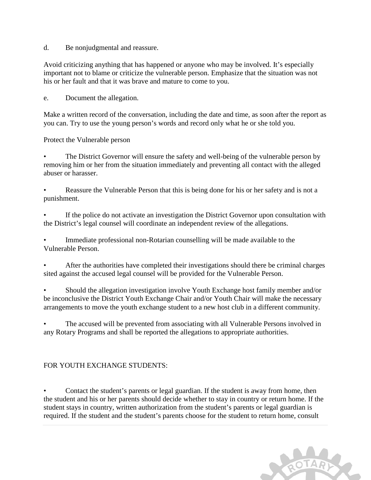d. Be nonjudgmental and reassure.

Avoid criticizing anything that has happened or anyone who may be involved. It's especially important not to blame or criticize the vulnerable person. Emphasize that the situation was not his or her fault and that it was brave and mature to come to you.

e. Document the allegation.

Make a written record of the conversation, including the date and time, as soon after the report as you can. Try to use the young person's words and record only what he or she told you.

Protect the Vulnerable person

The District Governor will ensure the safety and well-being of the vulnerable person by removing him or her from the situation immediately and preventing all contact with the alleged abuser or harasser.

Reassure the Vulnerable Person that this is being done for his or her safety and is not a punishment.

If the police do not activate an investigation the District Governor upon consultation with the District's legal counsel will coordinate an independent review of the allegations.

Immediate professional non-Rotarian counselling will be made available to the Vulnerable Person.

• After the authorities have completed their investigations should there be criminal charges sited against the accused legal counsel will be provided for the Vulnerable Person.

• Should the allegation investigation involve Youth Exchange host family member and/or be inconclusive the District Youth Exchange Chair and/or Youth Chair will make the necessary arrangements to move the youth exchange student to a new host club in a different community.

• The accused will be prevented from associating with all Vulnerable Persons involved in any Rotary Programs and shall be reported the allegations to appropriate authorities.

### FOR YOUTH EXCHANGE STUDENTS:

• Contact the student's parents or legal guardian. If the student is away from home, then the student and his or her parents should decide whether to stay in country or return home. If the student stays in country, written authorization from the student's parents or legal guardian is required. If the student and the student's parents choose for the student to return home, consult

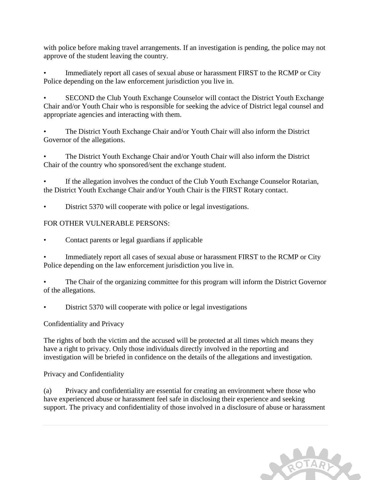with police before making travel arrangements. If an investigation is pending, the police may not approve of the student leaving the country.

Immediately report all cases of sexual abuse or harassment FIRST to the RCMP or City Police depending on the law enforcement jurisdiction you live in.

• SECOND the Club Youth Exchange Counselor will contact the District Youth Exchange Chair and/or Youth Chair who is responsible for seeking the advice of District legal counsel and appropriate agencies and interacting with them.

• The District Youth Exchange Chair and/or Youth Chair will also inform the District Governor of the allegations.

The District Youth Exchange Chair and/or Youth Chair will also inform the District Chair of the country who sponsored/sent the exchange student.

If the allegation involves the conduct of the Club Youth Exchange Counselor Rotarian, the District Youth Exchange Chair and/or Youth Chair is the FIRST Rotary contact.

District 5370 will cooperate with police or legal investigations.

# FOR OTHER VULNERABLE PERSONS:

- Contact parents or legal guardians if applicable
- Immediately report all cases of sexual abuse or harassment FIRST to the RCMP or City Police depending on the law enforcement jurisdiction you live in.
- The Chair of the organizing committee for this program will inform the District Governor of the allegations.
- District 5370 will cooperate with police or legal investigations

# Confidentiality and Privacy

The rights of both the victim and the accused will be protected at all times which means they have a right to privacy. Only those individuals directly involved in the reporting and investigation will be briefed in confidence on the details of the allegations and investigation.

Privacy and Confidentiality

(a) Privacy and confidentiality are essential for creating an environment where those who have experienced abuse or harassment feel safe in disclosing their experience and seeking support. The privacy and confidentiality of those involved in a disclosure of abuse or harassment

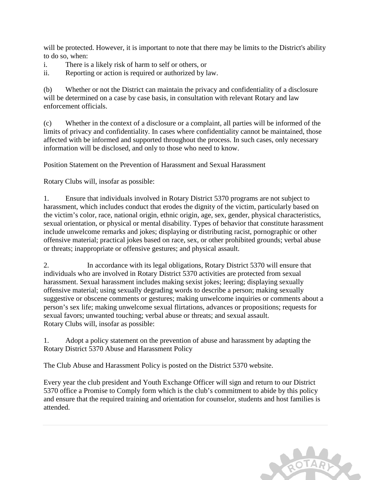will be protected. However, it is important to note that there may be limits to the District's ability to do so, when:

i. There is a likely risk of harm to self or others, or

ii. Reporting or action is required or authorized by law.

(b) Whether or not the District can maintain the privacy and confidentiality of a disclosure will be determined on a case by case basis, in consultation with relevant Rotary and law enforcement officials.

(c) Whether in the context of a disclosure or a complaint, all parties will be informed of the limits of privacy and confidentiality. In cases where confidentiality cannot be maintained, those affected with be informed and supported throughout the process. In such cases, only necessary information will be disclosed, and only to those who need to know.

Position Statement on the Prevention of Harassment and Sexual Harassment

Rotary Clubs will, insofar as possible:

1. Ensure that individuals involved in Rotary District 5370 programs are not subject to harassment, which includes conduct that erodes the dignity of the victim, particularly based on the victim's color, race, national origin, ethnic origin, age, sex, gender, physical characteristics, sexual orientation, or physical or mental disability. Types of behavior that constitute harassment include unwelcome remarks and jokes; displaying or distributing racist, pornographic or other offensive material; practical jokes based on race, sex, or other prohibited grounds; verbal abuse or threats; inappropriate or offensive gestures; and physical assault.

2. In accordance with its legal obligations, Rotary District 5370 will ensure that individuals who are involved in Rotary District 5370 activities are protected from sexual harassment. Sexual harassment includes making sexist jokes; leering; displaying sexually offensive material; using sexually degrading words to describe a person; making sexually suggestive or obscene comments or gestures; making unwelcome inquiries or comments about a person's sex life; making unwelcome sexual flirtations, advances or propositions; requests for sexual favors; unwanted touching; verbal abuse or threats; and sexual assault. Rotary Clubs will, insofar as possible:

1. Adopt a policy statement on the prevention of abuse and harassment by adapting the Rotary District 5370 Abuse and Harassment Policy

The Club Abuse and Harassment Policy is posted on the District 5370 website.

Every year the club president and Youth Exchange Officer will sign and return to our District 5370 office a Promise to Comply form which is the club's commitment to abide by this policy and ensure that the required training and orientation for counselor, students and host families is attended.

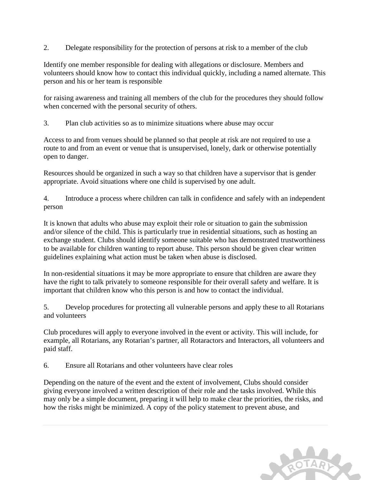2. Delegate responsibility for the protection of persons at risk to a member of the club

Identify one member responsible for dealing with allegations or disclosure. Members and volunteers should know how to contact this individual quickly, including a named alternate. This person and his or her team is responsible

for raising awareness and training all members of the club for the procedures they should follow when concerned with the personal security of others.

3. Plan club activities so as to minimize situations where abuse may occur

Access to and from venues should be planned so that people at risk are not required to use a route to and from an event or venue that is unsupervised, lonely, dark or otherwise potentially open to danger.

Resources should be organized in such a way so that children have a supervisor that is gender appropriate. Avoid situations where one child is supervised by one adult.

4. Introduce a process where children can talk in confidence and safely with an independent person

It is known that adults who abuse may exploit their role or situation to gain the submission and/or silence of the child. This is particularly true in residential situations, such as hosting an exchange student. Clubs should identify someone suitable who has demonstrated trustworthiness to be available for children wanting to report abuse. This person should be given clear written guidelines explaining what action must be taken when abuse is disclosed.

In non-residential situations it may be more appropriate to ensure that children are aware they have the right to talk privately to someone responsible for their overall safety and welfare. It is important that children know who this person is and how to contact the individual.

5. Develop procedures for protecting all vulnerable persons and apply these to all Rotarians and volunteers

Club procedures will apply to everyone involved in the event or activity. This will include, for example, all Rotarians, any Rotarian's partner, all Rotaractors and Interactors, all volunteers and paid staff.

6. Ensure all Rotarians and other volunteers have clear roles

Depending on the nature of the event and the extent of involvement, Clubs should consider giving everyone involved a written description of their role and the tasks involved. While this may only be a simple document, preparing it will help to make clear the priorities, the risks, and how the risks might be minimized. A copy of the policy statement to prevent abuse, and

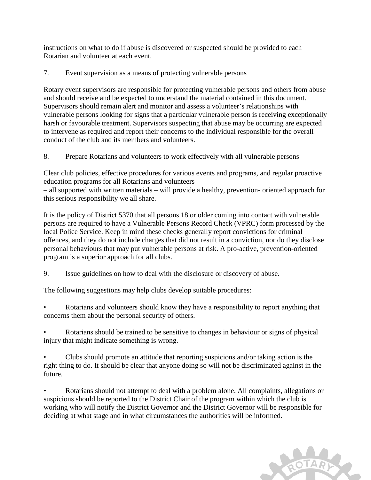instructions on what to do if abuse is discovered or suspected should be provided to each Rotarian and volunteer at each event.

7. Event supervision as a means of protecting vulnerable persons

Rotary event supervisors are responsible for protecting vulnerable persons and others from abuse and should receive and be expected to understand the material contained in this document. Supervisors should remain alert and monitor and assess a volunteer's relationships with vulnerable persons looking for signs that a particular vulnerable person is receiving exceptionally harsh or favourable treatment. Supervisors suspecting that abuse may be occurring are expected to intervene as required and report their concerns to the individual responsible for the overall conduct of the club and its members and volunteers.

8. Prepare Rotarians and volunteers to work effectively with all vulnerable persons

Clear club policies, effective procedures for various events and programs, and regular proactive education programs for all Rotarians and volunteers

– all supported with written materials – will provide a healthy, prevention- oriented approach for this serious responsibility we all share.

It is the policy of District 5370 that all persons 18 or older coming into contact with vulnerable persons are required to have a Vulnerable Persons Record Check (VPRC) form processed by the local Police Service. Keep in mind these checks generally report convictions for criminal offences, and they do not include charges that did not result in a conviction, nor do they disclose personal behaviours that may put vulnerable persons at risk. A pro-active, prevention-oriented program is a superior approach for all clubs.

9. Issue guidelines on how to deal with the disclosure or discovery of abuse.

The following suggestions may help clubs develop suitable procedures:

• Rotarians and volunteers should know they have a responsibility to report anything that concerns them about the personal security of others.

Rotarians should be trained to be sensitive to changes in behaviour or signs of physical injury that might indicate something is wrong.

• Clubs should promote an attitude that reporting suspicions and/or taking action is the right thing to do. It should be clear that anyone doing so will not be discriminated against in the future.

• Rotarians should not attempt to deal with a problem alone. All complaints, allegations or suspicions should be reported to the District Chair of the program within which the club is working who will notify the District Governor and the District Governor will be responsible for deciding at what stage and in what circumstances the authorities will be informed.

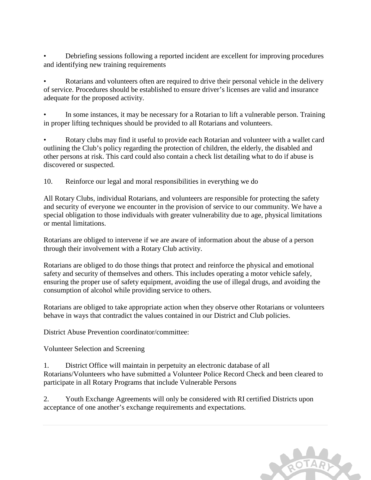• Debriefing sessions following a reported incident are excellent for improving procedures and identifying new training requirements

• Rotarians and volunteers often are required to drive their personal vehicle in the delivery of service. Procedures should be established to ensure driver's licenses are valid and insurance adequate for the proposed activity.

• In some instances, it may be necessary for a Rotarian to lift a vulnerable person. Training in proper lifting techniques should be provided to all Rotarians and volunteers.

• Rotary clubs may find it useful to provide each Rotarian and volunteer with a wallet card outlining the Club's policy regarding the protection of children, the elderly, the disabled and other persons at risk. This card could also contain a check list detailing what to do if abuse is discovered or suspected.

10. Reinforce our legal and moral responsibilities in everything we do

All Rotary Clubs, individual Rotarians, and volunteers are responsible for protecting the safety and security of everyone we encounter in the provision of service to our community. We have a special obligation to those individuals with greater vulnerability due to age, physical limitations or mental limitations.

Rotarians are obliged to intervene if we are aware of information about the abuse of a person through their involvement with a Rotary Club activity.

Rotarians are obliged to do those things that protect and reinforce the physical and emotional safety and security of themselves and others. This includes operating a motor vehicle safely, ensuring the proper use of safety equipment, avoiding the use of illegal drugs, and avoiding the consumption of alcohol while providing service to others.

Rotarians are obliged to take appropriate action when they observe other Rotarians or volunteers behave in ways that contradict the values contained in our District and Club policies.

District Abuse Prevention coordinator/committee:

Volunteer Selection and Screening

1. District Office will maintain in perpetuity an electronic database of all Rotarians/Volunteers who have submitted a Volunteer Police Record Check and been cleared to participate in all Rotary Programs that include Vulnerable Persons

2. Youth Exchange Agreements will only be considered with RI certified Districts upon acceptance of one another's exchange requirements and expectations.

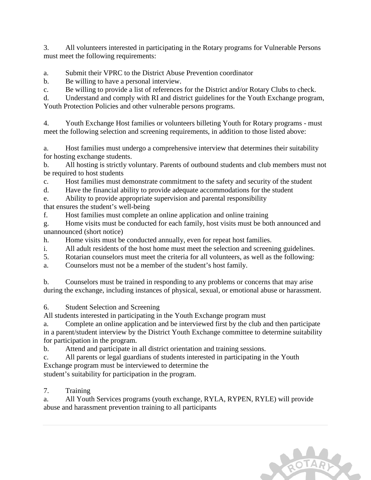3. All volunteers interested in participating in the Rotary programs for Vulnerable Persons must meet the following requirements:

a. Submit their VPRC to the District Abuse Prevention coordinator

b. Be willing to have a personal interview.

c. Be willing to provide a list of references for the District and/or Rotary Clubs to check.

d. Understand and comply with RI and district guidelines for the Youth Exchange program, Youth Protection Policies and other vulnerable persons programs.

4. Youth Exchange Host families or volunteers billeting Youth for Rotary programs - must meet the following selection and screening requirements, in addition to those listed above:

a. Host families must undergo a comprehensive interview that determines their suitability for hosting exchange students.

b. All hosting is strictly voluntary. Parents of outbound students and club members must not be required to host students

c. Host families must demonstrate commitment to the safety and security of the student

d. Have the financial ability to provide adequate accommodations for the student

e. Ability to provide appropriate supervision and parental responsibility

that ensures the student's well-being

f. Host families must complete an online application and online training

g. Home visits must be conducted for each family, host visits must be both announced and unannounced (short notice)

h. Home visits must be conducted annually, even for repeat host families.

i. All adult residents of the host home must meet the selection and screening guidelines.

5. Rotarian counselors must meet the criteria for all volunteers, as well as the following:

a. Counselors must not be a member of the student's host family.

b. Counselors must be trained in responding to any problems or concerns that may arise during the exchange, including instances of physical, sexual, or emotional abuse or harassment.

6. Student Selection and Screening

All students interested in participating in the Youth Exchange program must

a. Complete an online application and be interviewed first by the club and then participate in a parent/student interview by the District Youth Exchange committee to determine suitability for participation in the program.

b. Attend and participate in all district orientation and training sessions.

c. All parents or legal guardians of students interested in participating in the Youth

Exchange program must be interviewed to determine the

student's suitability for participation in the program.

7. Training

a. All Youth Services programs (youth exchange, RYLA, RYPEN, RYLE) will provide abuse and harassment prevention training to all participants

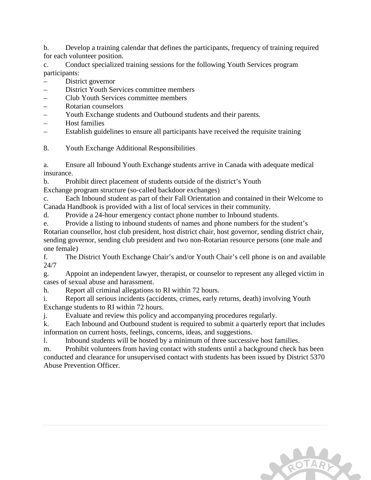b. Develop a training calendar that defines the participants, frequency of training required for each volunteer position.

c. Conduct specialized training sessions for the following Youth Services program participants:

- District governor
- District Youth Services committee members
- Club Youth Services committee members
- Rotarian counselors
- Youth Exchange students and Outbound students and their parents.
- Host families
- Establish guidelines to ensure all participants have received the requisite training
- 8. Youth Exchange Additional Responsibilities

a. Ensure all Inbound Youth Exchange students arrive in Canada with adequate medical insurance.

b. Prohibit direct placement of students outside of the district's Youth

Exchange program structure (so-called backdoor exchanges)

c. Each Inbound student as part of their Fall Orientation and contained in their Welcome to Canada Handbook is provided with a list of local services in their community.

d. Provide a 24-hour emergency contact phone number to Inbound students.

e. Provide a listing to inbound students of names and phone numbers for the student's

Rotarian counsellor, host club president, host district chair, host governor, sending district chair, sending governor, sending club president and two non-Rotarian resource persons (one male and one female)

f. The District Youth Exchange Chair's and/or Youth Chair's cell phone is on and available 24/7

g. Appoint an independent lawyer, therapist, or counselor to represent any alleged victim in cases of sexual abuse and harassment.

h. Report all criminal allegations to RI within 72 hours.

i. Report all serious incidents (accidents, crimes, early returns, death) involving Youth Exchange students to RI within 72 hours.

j. Evaluate and review this policy and accompanying procedures regularly.

k. Each Inbound and Outbound student is required to submit a quarterly report that includes information on current hosts, feelings, concerns, ideas, and suggestions.

l. Inbound students will be hosted by a minimum of three successive host families.

m. Prohibit volunteers from having contact with students until a background check has been conducted and clearance for unsupervised contact with students has been issued by District 5370 Abuse Prevention Officer.

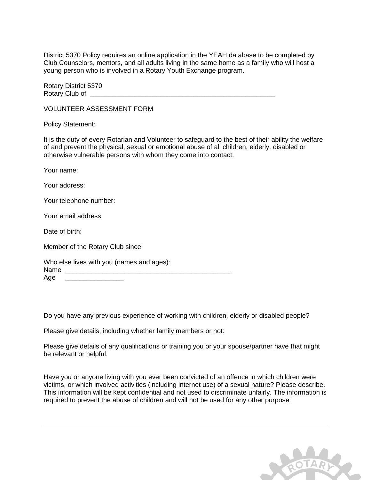District 5370 Policy requires an online application in the YEAH database to be completed by Club Counselors, mentors, and all adults living in the same home as a family who will host a young person who is involved in a Rotary Youth Exchange program.

Rotary District 5370 Rotary Club of

VOLUNTEER ASSESSMENT FORM

Policy Statement:

It is the duty of every Rotarian and Volunteer to safeguard to the best of their ability the welfare of and prevent the physical, sexual or emotional abuse of all children, elderly, disabled or otherwise vulnerable persons with whom they come into contact.

Your name:

Your address:

Your telephone number:

Your email address:

Date of birth:

Member of the Rotary Club since:

| Who else lives with you (names and ages): |  |  |  |
|-------------------------------------------|--|--|--|
| Name                                      |  |  |  |
| Age                                       |  |  |  |

Do you have any previous experience of working with children, elderly or disabled people?

Please give details, including whether family members or not:

Please give details of any qualifications or training you or your spouse/partner have that might be relevant or helpful:

Have you or anyone living with you ever been convicted of an offence in which children were victims, or which involved activities (including internet use) of a sexual nature? Please describe. This information will be kept confidential and not used to discriminate unfairly. The information is required to prevent the abuse of children and will not be used for any other purpose:

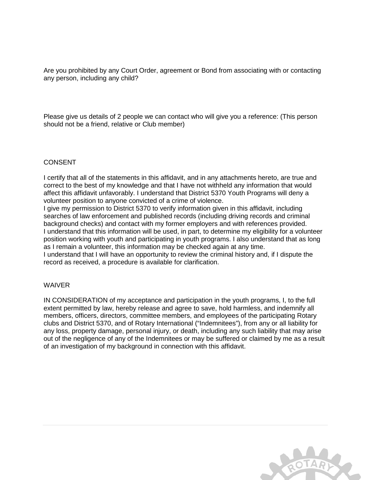Are you prohibited by any Court Order, agreement or Bond from associating with or contacting any person, including any child?

Please give us details of 2 people we can contact who will give you a reference: (This person should not be a friend, relative or Club member)

#### CONSENT

I certify that all of the statements in this affidavit, and in any attachments hereto, are true and correct to the best of my knowledge and that I have not withheld any information that would affect this affidavit unfavorably. I understand that District 5370 Youth Programs will deny a volunteer position to anyone convicted of a crime of violence.

I give my permission to District 5370 to verify information given in this affidavit, including searches of law enforcement and published records (including driving records and criminal background checks) and contact with my former employers and with references provided. I understand that this information will be used, in part, to determine my eligibility for a volunteer position working with youth and participating in youth programs. I also understand that as long as I remain a volunteer, this information may be checked again at any time.

I understand that I will have an opportunity to review the criminal history and, if I dispute the record as received, a procedure is available for clarification.

#### WAIVER

IN CONSIDERATION of my acceptance and participation in the youth programs, I, to the full extent permitted by law, hereby release and agree to save, hold harmless, and indemnify all members, officers, directors, committee members, and employees of the participating Rotary clubs and District 5370, and of Rotary International ("Indemnitees"), from any or all liability for any loss, property damage, personal injury, or death, including any such liability that may arise out of the negligence of any of the Indemnitees or may be suffered or claimed by me as a result of an investigation of my background in connection with this affidavit.